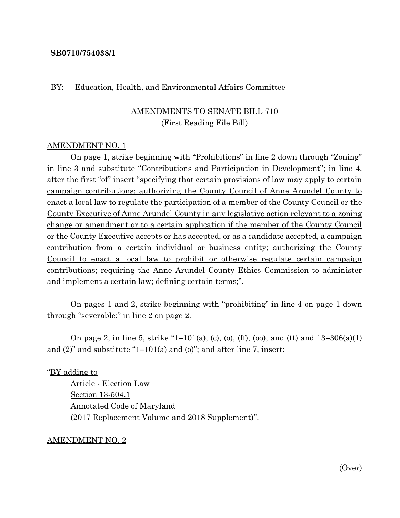### **SB0710/754038/1**

### BY: Education, Health, and Environmental Affairs Committee

### AMENDMENTS TO SENATE BILL 710 (First Reading File Bill)

### AMENDMENT NO. 1

On page 1, strike beginning with "Prohibitions" in line 2 down through "Zoning" in line 3 and substitute "Contributions and Participation in Development"; in line 4, after the first "of" insert "specifying that certain provisions of law may apply to certain campaign contributions; authorizing the County Council of Anne Arundel County to enact a local law to regulate the participation of a member of the County Council or the County Executive of Anne Arundel County in any legislative action relevant to a zoning change or amendment or to a certain application if the member of the County Council or the County Executive accepts or has accepted, or as a candidate accepted, a campaign contribution from a certain individual or business entity; authorizing the County Council to enact a local law to prohibit or otherwise regulate certain campaign contributions; requiring the Anne Arundel County Ethics Commission to administer and implement a certain law; defining certain terms;".

On pages 1 and 2, strike beginning with "prohibiting" in line 4 on page 1 down through "severable;" in line 2 on page 2.

On page 2, in line 5, strike "1-101(a), (c), (o), (ff), (oo), and (tt) and  $13-306(a)(1)$ and  $(2)$ " and substitute "1–101 $(a)$  and  $(b)$ "; and after line 7, insert:

"BY adding to

Article - Election Law Section 13-504.1 Annotated Code of Maryland (2017 Replacement Volume and 2018 Supplement)".

#### AMENDMENT NO. 2

(Over)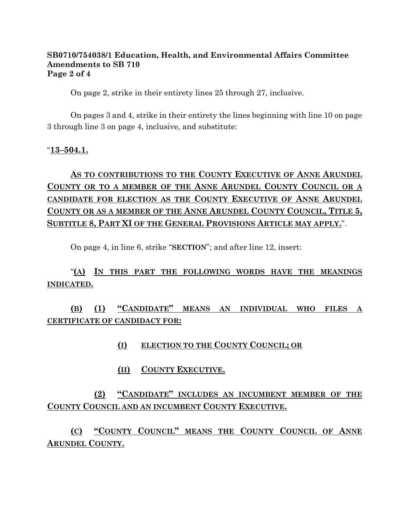### **SB0710/754038/1 Education, Health, and Environmental Affairs Committee Amendments to SB 710 Page 2 of 4**

On page 2, strike in their entirety lines 25 through 27, inclusive.

On pages 3 and 4, strike in their entirety the lines beginning with line 10 on page 3 through line 3 on page 4, inclusive, and substitute:

### "**13–504.1.**

# **AS TO CONTRIBUTIONS TO THE COUNTY EXECUTIVE OF ANNE ARUNDEL COUNTY OR TO A MEMBER OF THE ANNE ARUNDEL COUNTY COUNCIL OR A CANDIDATE FOR ELECTION AS THE COUNTY EXECUTIVE OF ANNE ARUNDEL COUNTY OR AS A MEMBER OF THE ANNE ARUNDEL COUNTY COUNCIL, TITLE 5, SUBTITLE 8, PART XI OF THE GENERAL PROVISIONS ARTICLE MAY APPLY.**".

On page 4, in line 6, strike "**SECTION**"; and after line 12, insert:

## "**(A) IN THIS PART THE FOLLOWING WORDS HAVE THE MEANINGS INDICATED.**

**(B) (1) "CANDIDATE" MEANS AN INDIVIDUAL WHO FILES A CERTIFICATE OF CANDIDACY FOR:**

- **(I) ELECTION TO THE COUNTY COUNCIL; OR**
- **(II) COUNTY EXECUTIVE.**

## **(2) "CANDIDATE" INCLUDES AN INCUMBENT MEMBER OF THE COUNTY COUNCIL AND AN INCUMBENT COUNTY EXECUTIVE.**

**(C) "COUNTY COUNCIL" MEANS THE COUNTY COUNCIL OF ANNE ARUNDEL COUNTY.**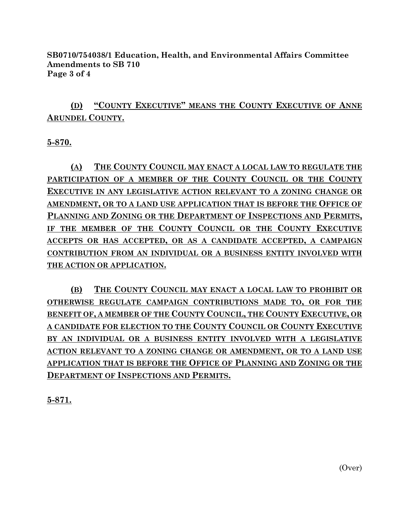**SB0710/754038/1 Education, Health, and Environmental Affairs Committee Amendments to SB 710 Page 3 of 4**

## **(D) "COUNTY EXECUTIVE" MEANS THE COUNTY EXECUTIVE OF ANNE ARUNDEL COUNTY.**

**5-870.**

**(A) THE COUNTY COUNCIL MAY ENACT A LOCAL LAW TO REGULATE THE PARTICIPATION OF A MEMBER OF THE COUNTY COUNCIL OR THE COUNTY EXECUTIVE IN ANY LEGISLATIVE ACTION RELEVANT TO A ZONING CHANGE OR AMENDMENT, OR TO A LAND USE APPLICATION THAT IS BEFORE THE OFFICE OF PLANNING AND ZONING OR THE DEPARTMENT OF INSPECTIONS AND PERMITS, IF THE MEMBER OF THE COUNTY COUNCIL OR THE COUNTY EXECUTIVE ACCEPTS OR HAS ACCEPTED, OR AS A CANDIDATE ACCEPTED, A CAMPAIGN CONTRIBUTION FROM AN INDIVIDUAL OR A BUSINESS ENTITY INVOLVED WITH THE ACTION OR APPLICATION.**

**(B) THE COUNTY COUNCIL MAY ENACT A LOCAL LAW TO PROHIBIT OR OTHERWISE REGULATE CAMPAIGN CONTRIBUTIONS MADE TO, OR FOR THE BENEFIT OF, A MEMBER OF THE COUNTY COUNCIL, THE COUNTY EXECUTIVE, OR A CANDIDATE FOR ELECTION TO THE COUNTY COUNCIL OR COUNTY EXECUTIVE BY AN INDIVIDUAL OR A BUSINESS ENTITY INVOLVED WITH A LEGISLATIVE ACTION RELEVANT TO A ZONING CHANGE OR AMENDMENT, OR TO A LAND USE APPLICATION THAT IS BEFORE THE OFFICE OF PLANNING AND ZONING OR THE DEPARTMENT OF INSPECTIONS AND PERMITS.**

**5-871.**